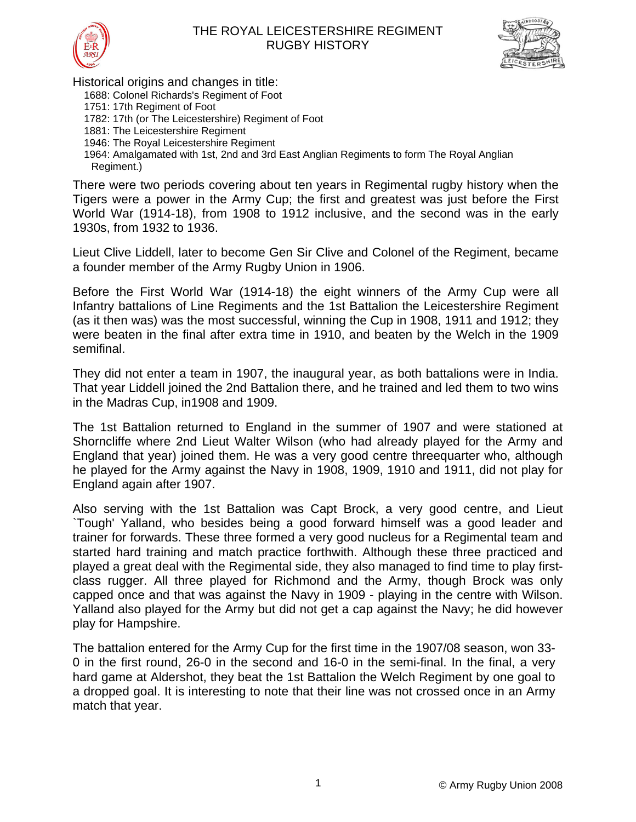

Historical origins and changes in title:

- 1688: Colonel Richards's Regiment of Foot
- 1751: 17th Regiment of Foot
- 1782: 17th (or The Leicestershire) Regiment of Foot
- 1881: The Leicestershire Regiment
- 1946: The Royal Leicestershire Regiment
- 1964: Amalgamated with 1st, 2nd and 3rd East Anglian Regiments to form The Royal Anglian Regiment.)

There were two periods covering about ten years in Regimental rugby history when the Tigers were a power in the Army Cup; the first and greatest was just before the First World War (1914-18), from 1908 to 1912 inclusive, and the second was in the early 1930s, from 1932 to 1936.

Lieut Clive Liddell, later to become Gen Sir Clive and Colonel of the Regiment, became a founder member of the Army Rugby Union in 1906.

Before the First World War (1914-18) the eight winners of the Army Cup were all Infantry battalions of Line Regiments and the 1st Battalion the Leicestershire Regiment (as it then was) was the most successful, winning the Cup in 1908, 1911 and 1912; they were beaten in the final after extra time in 1910, and beaten by the Welch in the 1909 semifinal.

They did not enter a team in 1907, the inaugural year, as both battalions were in India. That year Liddell joined the 2nd Battalion there, and he trained and led them to two wins in the Madras Cup, in1908 and 1909.

The 1st Battalion returned to England in the summer of 1907 and were stationed at Shorncliffe where 2nd Lieut Walter Wilson (who had already played for the Army and England that year) joined them. He was a very good centre threequarter who, although he played for the Army against the Navy in 1908, 1909, 1910 and 1911, did not play for England again after 1907.

Also serving with the 1st Battalion was Capt Brock, a very good centre, and Lieut `Tough' Yalland, who besides being a good forward himself was a good leader and trainer for forwards. These three formed a very good nucleus for a Regimental team and started hard training and match practice forthwith. Although these three practiced and played a great deal with the Regimental side, they also managed to find time to play firstclass rugger. All three played for Richmond and the Army, though Brock was only capped once and that was against the Navy in 1909 - playing in the centre with Wilson. Yalland also played for the Army but did not get a cap against the Navy; he did however play for Hampshire.

The battalion entered for the Army Cup for the first time in the 1907/08 season, won 33- 0 in the first round, 26-0 in the second and 16-0 in the semi-final. In the final, a very hard game at Aldershot, they beat the 1st Battalion the Welch Regiment by one goal to a dropped goal. It is interesting to note that their line was not crossed once in an Army match that year.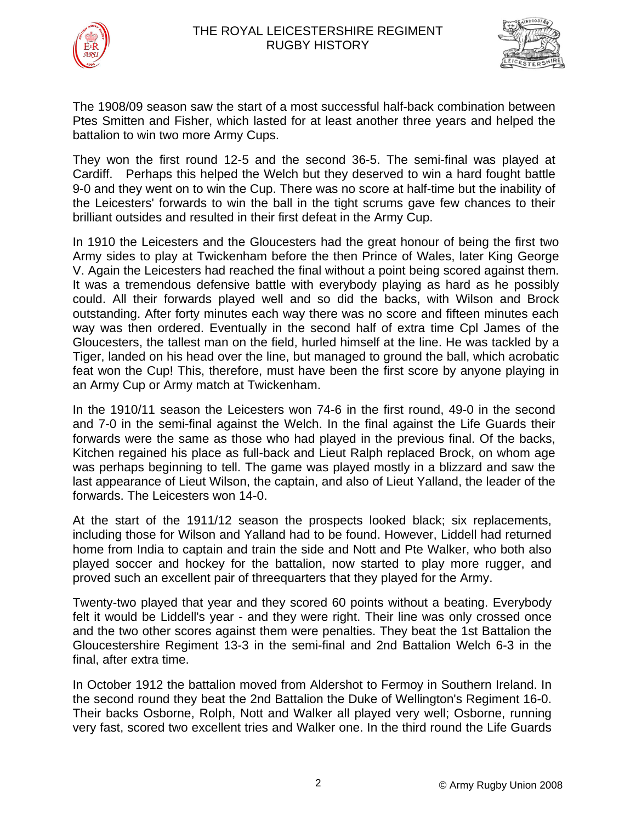



The 1908/09 season saw the start of a most successful half-back combination between Ptes Smitten and Fisher, which lasted for at least another three years and helped the battalion to win two more Army Cups.

They won the first round 12-5 and the second 36-5. The semi-final was played at Cardiff. Perhaps this helped the Welch but they deserved to win a hard fought battle 9-0 and they went on to win the Cup. There was no score at half-time but the inability of the Leicesters' forwards to win the ball in the tight scrums gave few chances to their brilliant outsides and resulted in their first defeat in the Army Cup.

In 1910 the Leicesters and the Gloucesters had the great honour of being the first two Army sides to play at Twickenham before the then Prince of Wales, later King George V. Again the Leicesters had reached the final without a point being scored against them. It was a tremendous defensive battle with everybody playing as hard as he possibly could. All their forwards played well and so did the backs, with Wilson and Brock outstanding. After forty minutes each way there was no score and fifteen minutes each way was then ordered. Eventually in the second half of extra time Cpl James of the Gloucesters, the tallest man on the field, hurled himself at the line. He was tackled by a Tiger, landed on his head over the line, but managed to ground the ball, which acrobatic feat won the Cup! This, therefore, must have been the first score by anyone playing in an Army Cup or Army match at Twickenham.

In the 1910/11 season the Leicesters won 74-6 in the first round, 49-0 in the second and 7-0 in the semi-final against the Welch. In the final against the Life Guards their forwards were the same as those who had played in the previous final. Of the backs, Kitchen regained his place as full-back and Lieut Ralph replaced Brock, on whom age was perhaps beginning to tell. The game was played mostly in a blizzard and saw the last appearance of Lieut Wilson, the captain, and also of Lieut Yalland, the leader of the forwards. The Leicesters won 14-0.

At the start of the 1911/12 season the prospects looked black; six replacements, including those for Wilson and Yalland had to be found. However, Liddell had returned home from India to captain and train the side and Nott and Pte Walker, who both also played soccer and hockey for the battalion, now started to play more rugger, and proved such an excellent pair of threequarters that they played for the Army.

Twenty-two played that year and they scored 60 points without a beating. Everybody felt it would be Liddell's year - and they were right. Their line was only crossed once and the two other scores against them were penalties. They beat the 1st Battalion the Gloucestershire Regiment 13-3 in the semi-final and 2nd Battalion Welch 6-3 in the final, after extra time.

In October 1912 the battalion moved from Aldershot to Fermoy in Southern Ireland. In the second round they beat the 2nd Battalion the Duke of Wellington's Regiment 16-0. Their backs Osborne, Rolph, Nott and Walker all played very well; Osborne, running very fast, scored two excellent tries and Walker one. In the third round the Life Guards